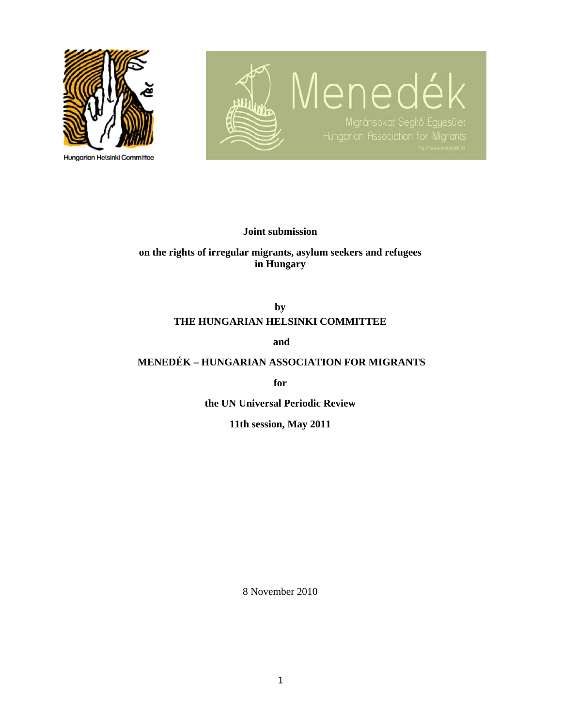

**Hungarian Helsinki Committee** 



**Joint submission** 

**on the rights of irregular migrants, asylum seekers and refugees in Hungary** 

# **by THE HUNGARIAN HELSINKI COMMITTEE**

 **and** 

# **MENEDÉK – HUNGARIAN ASSOCIATION FOR MIGRANTS**

**for** 

**the UN Universal Periodic Review** 

**11th session, May 2011** 

8 November 2010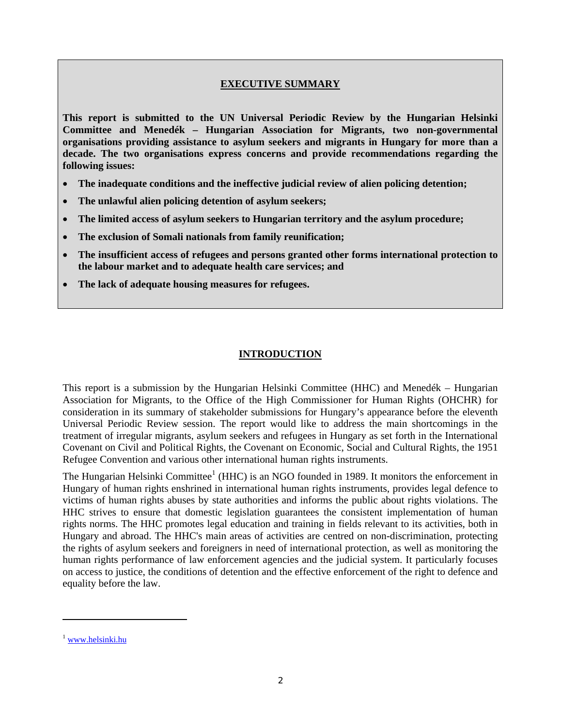#### **EXECUTIVE SUMMARY**

**This report is submitted to the UN Universal Periodic Review by the Hungarian Helsinki Committee and Menedék – Hungarian Association for Migrants, two non-governmental organisations providing assistance to asylum seekers and migrants in Hungary for more than a decade. The two organisations express concerns and provide recommendations regarding the following issues:** 

- **The inadequate conditions and the ineffective judicial review of alien policing detention;**
- **The unlawful alien policing detention of asylum seekers;**
- **The limited access of asylum seekers to Hungarian territory and the asylum procedure;**
- **The exclusion of Somali nationals from family reunification;**
- **The insufficient access of refugees and persons granted other forms international protection to the labour market and to adequate health care services; and**
- **The lack of adequate housing measures for refugees.**

#### **INTRODUCTION**

This report is a submission by the Hungarian Helsinki Committee (HHC) and Menedék – Hungarian Association for Migrants, to the Office of the High Commissioner for Human Rights (OHCHR) for consideration in its summary of stakeholder submissions for Hungary's appearance before the eleventh Universal Periodic Review session. The report would like to address the main shortcomings in the treatment of irregular migrants, asylum seekers and refugees in Hungary as set forth in the International Covenant on Civil and Political Rights, the Covenant on Economic, Social and Cultural Rights, the 1951 Refugee Convention and various other international human rights instruments.

The Hungarian Helsinki Committee<sup>1</sup> (HHC) is an NGO founded in 1989. It monitors the enforcement in Hungary of human rights enshrined in international human rights instruments, provides legal defence to victims of human rights abuses by state authorities and informs the public about rights violations. The HHC strives to ensure that domestic legislation guarantees the consistent implementation of human rights norms. The HHC promotes legal education and training in fields relevant to its activities, both in Hungary and abroad. The HHC's main areas of activities are centred on non-discrimination, protecting the rights of asylum seekers and foreigners in need of international protection, as well as monitoring the human rights performance of law enforcement agencies and the judicial system. It particularly focuses on access to justice, the conditions of detention and the effective enforcement of the right to defence and equality before the law.

<sup>&</sup>lt;sup>1</sup> www.helsinki.hu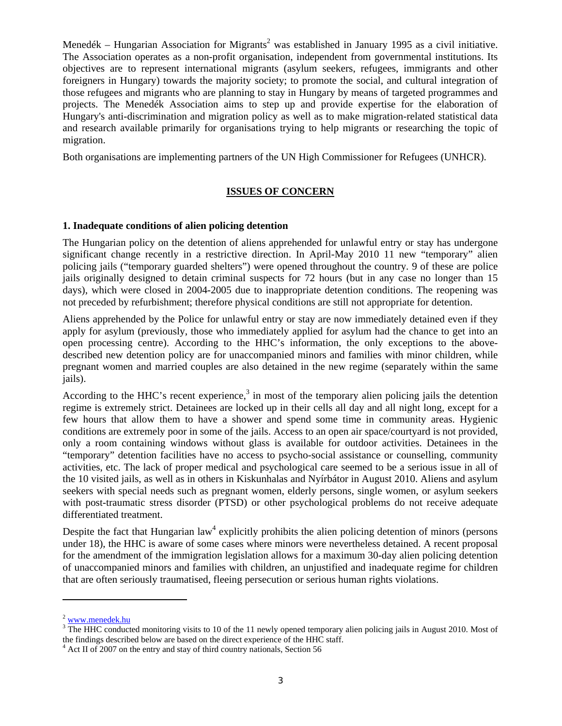Menedék – Hungarian Association for Migrants<sup>2</sup> was established in January 1995 as a civil initiative. The Association operates as a non-profit organisation, independent from governmental institutions. Its objectives are to represent international migrants (asylum seekers, refugees, immigrants and other foreigners in Hungary) towards the majority society; to promote the social, and cultural integration of those refugees and migrants who are planning to stay in Hungary by means of targeted programmes and projects. The Menedék Association aims to step up and provide expertise for the elaboration of Hungary's anti-discrimination and migration policy as well as to make migration-related statistical data and research available primarily for organisations trying to help migrants or researching the topic of migration.

Both organisations are implementing partners of the UN High Commissioner for Refugees (UNHCR).

# **ISSUES OF CONCERN**

#### **1. Inadequate conditions of alien policing detention**

The Hungarian policy on the detention of aliens apprehended for unlawful entry or stay has undergone significant change recently in a restrictive direction. In April-May 2010 11 new "temporary" alien policing jails ("temporary guarded shelters") were opened throughout the country. 9 of these are police jails originally designed to detain criminal suspects for 72 hours (but in any case no longer than 15 days), which were closed in 2004-2005 due to inappropriate detention conditions. The reopening was not preceded by refurbishment; therefore physical conditions are still not appropriate for detention.

Aliens apprehended by the Police for unlawful entry or stay are now immediately detained even if they apply for asylum (previously, those who immediately applied for asylum had the chance to get into an open processing centre). According to the HHC's information, the only exceptions to the abovedescribed new detention policy are for unaccompanied minors and families with minor children, while pregnant women and married couples are also detained in the new regime (separately within the same jails).

According to the HHC's recent experience,<sup>3</sup> in most of the temporary alien policing jails the detention regime is extremely strict. Detainees are locked up in their cells all day and all night long, except for a few hours that allow them to have a shower and spend some time in community areas. Hygienic conditions are extremely poor in some of the jails. Access to an open air space/courtyard is not provided, only a room containing windows without glass is available for outdoor activities. Detainees in the "temporary" detention facilities have no access to psycho-social assistance or counselling, community activities, etc. The lack of proper medical and psychological care seemed to be a serious issue in all of the 10 visited jails, as well as in others in Kiskunhalas and Nyírbátor in August 2010. Aliens and asylum seekers with special needs such as pregnant women, elderly persons, single women, or asylum seekers with post-traumatic stress disorder (PTSD) or other psychological problems do not receive adequate differentiated treatment.

Despite the fact that Hungarian  $law<sup>4</sup>$  explicitly prohibits the alien policing detention of minors (persons under 18), the HHC is aware of some cases where minors were nevertheless detained. A recent proposal for the amendment of the immigration legislation allows for a maximum 30-day alien policing detention of unaccompanied minors and families with children, an unjustified and inadequate regime for children that are often seriously traumatised, fleeing persecution or serious human rights violations.

 $2$  www.menedek.hu

<sup>&</sup>lt;sup>3</sup> The HHC conducted monitoring visits to 10 of the 11 newly opened temporary alien policing jails in August 2010. Most of the findings described below are based on the direct experience of the HHC staff.

<sup>&</sup>lt;sup>4</sup> Act II of 2007 on the entry and stay of third country nationals, Section 56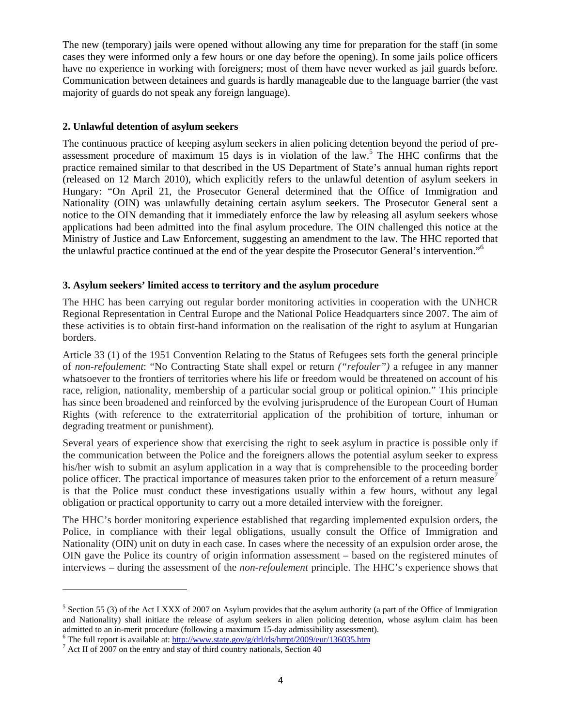The new (temporary) jails were opened without allowing any time for preparation for the staff (in some cases they were informed only a few hours or one day before the opening). In some jails police officers have no experience in working with foreigners; most of them have never worked as jail guards before. Communication between detainees and guards is hardly manageable due to the language barrier (the vast majority of guards do not speak any foreign language).

#### **2. Unlawful detention of asylum seekers**

The continuous practice of keeping asylum seekers in alien policing detention beyond the period of preassessment procedure of maximum 15 days is in violation of the law.<sup>5</sup> The HHC confirms that the practice remained similar to that described in the US Department of State's annual human rights report (released on 12 March 2010), which explicitly refers to the unlawful detention of asylum seekers in Hungary: "On April 21, the Prosecutor General determined that the Office of Immigration and Nationality (OIN) was unlawfully detaining certain asylum seekers. The Prosecutor General sent a notice to the OIN demanding that it immediately enforce the law by releasing all asylum seekers whose applications had been admitted into the final asylum procedure. The OIN challenged this notice at the Ministry of Justice and Law Enforcement, suggesting an amendment to the law. The HHC reported that the unlawful practice continued at the end of the year despite the Prosecutor General's intervention."6

#### **3. Asylum seekers' limited access to territory and the asylum procedure**

The HHC has been carrying out regular border monitoring activities in cooperation with the UNHCR Regional Representation in Central Europe and the National Police Headquarters since 2007. The aim of these activities is to obtain first-hand information on the realisation of the right to asylum at Hungarian borders.

Article 33 (1) of the 1951 Convention Relating to the Status of Refugees sets forth the general principle of *non-refoulement*: "No Contracting State shall expel or return *("refouler")* a refugee in any manner whatsoever to the frontiers of territories where his life or freedom would be threatened on account of his race, religion, nationality, membership of a particular social group or political opinion." This principle has since been broadened and reinforced by the evolving jurisprudence of the European Court of Human Rights (with reference to the extraterritorial application of the prohibition of torture, inhuman or degrading treatment or punishment).

Several years of experience show that exercising the right to seek asylum in practice is possible only if the communication between the Police and the foreigners allows the potential asylum seeker to express his/her wish to submit an asylum application in a way that is comprehensible to the proceeding border police officer. The practical importance of measures taken prior to the enforcement of a return measure<sup>7</sup> is that the Police must conduct these investigations usually within a few hours, without any legal obligation or practical opportunity to carry out a more detailed interview with the foreigner.

The HHC's border monitoring experience established that regarding implemented expulsion orders, the Police, in compliance with their legal obligations, usually consult the Office of Immigration and Nationality (OIN) unit on duty in each case. In cases where the necessity of an expulsion order arose, the OIN gave the Police its country of origin information assessment – based on the registered minutes of interviews – during the assessment of the *non-refoulement* principle. The HHC's experience shows that

 $5$  Section 55 (3) of the Act LXXX of 2007 on Asylum provides that the asylum authority (a part of the Office of Immigration and Nationality) shall initiate the release of asylum seekers in alien policing detention, whose asylum claim has been admitted to an in-merit procedure (following a maximum 15-day admissibility assessment).

<sup>&</sup>lt;sup>6</sup> The full report is available at:  $\frac{http://www.state.gov/g/dr/rls/hrrpt/2009/eur/136035.htm}{\pi}$ 

 $^7$  Act II of 2007 on the entry and stay of third country nationals, Section 40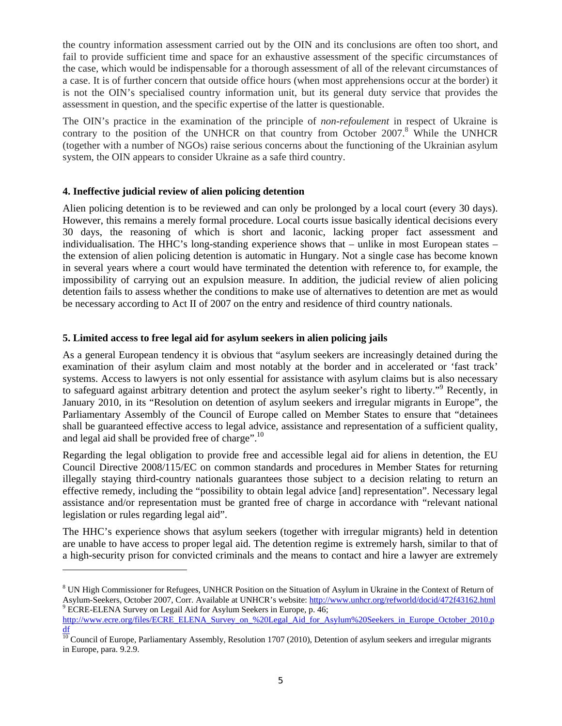the country information assessment carried out by the OIN and its conclusions are often too short, and fail to provide sufficient time and space for an exhaustive assessment of the specific circumstances of the case, which would be indispensable for a thorough assessment of all of the relevant circumstances of a case. It is of further concern that outside office hours (when most apprehensions occur at the border) it is not the OIN's specialised country information unit, but its general duty service that provides the assessment in question, and the specific expertise of the latter is questionable.

The OIN's practice in the examination of the principle of *non-refoulement* in respect of Ukraine is contrary to the position of the UNHCR on that country from October 2007.<sup>8</sup> While the UNHCR (together with a number of NGOs) raise serious concerns about the functioning of the Ukrainian asylum system, the OIN appears to consider Ukraine as a safe third country.

#### **4. Ineffective judicial review of alien policing detention**

Alien policing detention is to be reviewed and can only be prolonged by a local court (every 30 days). However, this remains a merely formal procedure. Local courts issue basically identical decisions every 30 days, the reasoning of which is short and laconic, lacking proper fact assessment and individualisation. The HHC's long-standing experience shows that – unlike in most European states – the extension of alien policing detention is automatic in Hungary. Not a single case has become known in several years where a court would have terminated the detention with reference to, for example, the impossibility of carrying out an expulsion measure. In addition, the judicial review of alien policing detention fails to assess whether the conditions to make use of alternatives to detention are met as would be necessary according to Act II of 2007 on the entry and residence of third country nationals.

#### **5. Limited access to free legal aid for asylum seekers in alien policing jails**

As a general European tendency it is obvious that "asylum seekers are increasingly detained during the examination of their asylum claim and most notably at the border and in accelerated or 'fast track' systems. Access to lawyers is not only essential for assistance with asylum claims but is also necessary to safeguard against arbitrary detention and protect the asylum seeker's right to liberty."<sup>9</sup> Recently, in January 2010, in its "Resolution on detention of asylum seekers and irregular migrants in Europe", the Parliamentary Assembly of the Council of Europe called on Member States to ensure that "detainees shall be guaranteed effective access to legal advice, assistance and representation of a sufficient quality, and legal aid shall be provided free of charge".10

Regarding the legal obligation to provide free and accessible legal aid for aliens in detention, the EU Council Directive 2008/115/EC on common standards and procedures in Member States for returning illegally staying third-country nationals guarantees those subject to a decision relating to return an effective remedy, including the "possibility to obtain legal advice [and] representation". Necessary legal assistance and/or representation must be granted free of charge in accordance with "relevant national legislation or rules regarding legal aid".

The HHC's experience shows that asylum seekers (together with irregular migrants) held in detention are unable to have access to proper legal aid. The detention regime is extremely harsh, similar to that of a high-security prison for convicted criminals and the means to contact and hire a lawyer are extremely

<sup>&</sup>lt;sup>8</sup> UN High Commissioner for Refugees, UNHCR Position on the Situation of Asylum in Ukraine in the Context of Return of Asylum-Seekers, October 2007, Corr. Available at UNHCR's website: http://www.unhcr.org/refworld/docid/472f43162.html 9 ECRE-ELENA Survey on Legail Aid for Asylum Seekers in Europe, p. 46;

http://www.ecre.org/files/ECRE\_ELENA\_Survey\_on\_%20Legal\_Aid\_for\_Asylum%20Seekers\_in\_Europe\_October\_2010.p

 $\frac{df}{d\theta}$  Council of Europe, Parliamentary Assembly, Resolution 1707 (2010), Detention of asylum seekers and irregular migrants in Europe, para. 9.2.9.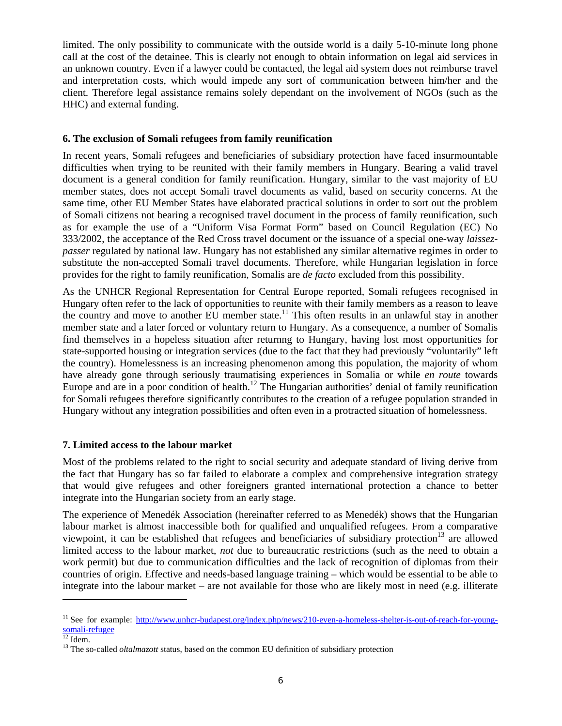limited. The only possibility to communicate with the outside world is a daily 5-10-minute long phone call at the cost of the detainee. This is clearly not enough to obtain information on legal aid services in an unknown country. Even if a lawyer could be contacted, the legal aid system does not reimburse travel and interpretation costs, which would impede any sort of communication between him/her and the client. Therefore legal assistance remains solely dependant on the involvement of NGOs (such as the HHC) and external funding.

#### **6. The exclusion of Somali refugees from family reunification**

In recent years, Somali refugees and beneficiaries of subsidiary protection have faced insurmountable difficulties when trying to be reunited with their family members in Hungary. Bearing a valid travel document is a general condition for family reunification. Hungary, similar to the vast majority of EU member states, does not accept Somali travel documents as valid, based on security concerns. At the same time, other EU Member States have elaborated practical solutions in order to sort out the problem of Somali citizens not bearing a recognised travel document in the process of family reunification, such as for example the use of a "Uniform Visa Format Form" based on Council Regulation (EC) No 333/2002, the acceptance of the Red Cross travel document or the issuance of a special one-way *laissezpasser* regulated by national law. Hungary has not established any similar alternative regimes in order to substitute the non-accepted Somali travel documents. Therefore, while Hungarian legislation in force provides for the right to family reunification, Somalis are *de facto* excluded from this possibility.

As the UNHCR Regional Representation for Central Europe reported, Somali refugees recognised in Hungary often refer to the lack of opportunities to reunite with their family members as a reason to leave the country and move to another EU member state.<sup>11</sup> This often results in an unlawful stay in another member state and a later forced or voluntary return to Hungary. As a consequence, a number of Somalis find themselves in a hopeless situation after returnng to Hungary, having lost most opportunities for state-supported housing or integration services (due to the fact that they had previously "voluntarily" left the country). Homelessness is an increasing phenomenon among this population, the majority of whom have already gone through seriously traumatising experiences in Somalia or while *en route* towards Europe and are in a poor condition of health.<sup>12</sup> The Hungarian authorities' denial of family reunification for Somali refugees therefore significantly contributes to the creation of a refugee population stranded in Hungary without any integration possibilities and often even in a protracted situation of homelessness.

#### **7. Limited access to the labour market**

Most of the problems related to the right to social security and adequate standard of living derive from the fact that Hungary has so far failed to elaborate a complex and comprehensive integration strategy that would give refugees and other foreigners granted international protection a chance to better integrate into the Hungarian society from an early stage.

The experience of Menedék Association (hereinafter referred to as Menedék) shows that the Hungarian labour market is almost inaccessible both for qualified and unqualified refugees. From a comparative viewpoint, it can be established that refugees and beneficiaries of subsidiary protection<sup>13</sup> are allowed limited access to the labour market, *not* due to bureaucratic restrictions (such as the need to obtain a work permit) but due to communication difficulties and the lack of recognition of diplomas from their countries of origin. Effective and needs-based language training – which would be essential to be able to integrate into the labour market – are not available for those who are likely most in need (e.g. illiterate

<sup>&</sup>lt;sup>11</sup> See for example: http://www.unhcr-budapest.org/index.php/news/210-even-a-homeless-shelter-is-out-of-reach-for-youngsomali-refugee<br><sup>12</sup> Idem.

<sup>&</sup>lt;sup>13</sup> The so-called *oltalmazott* status, based on the common EU definition of subsidiary protection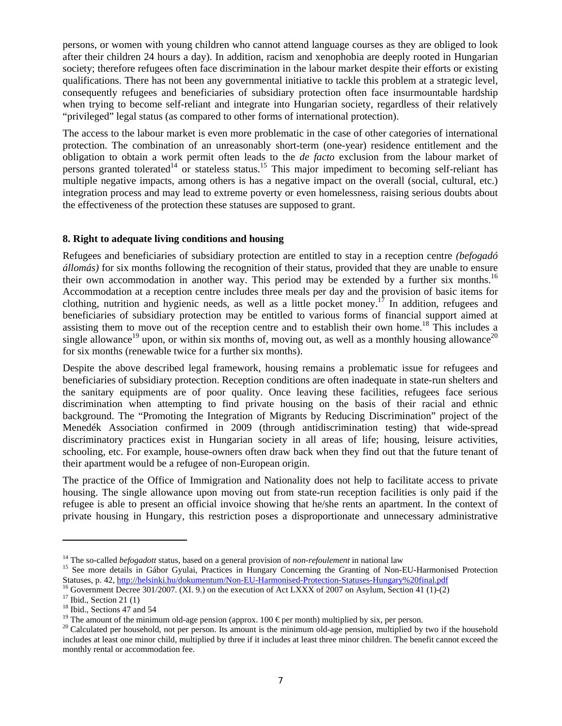persons, or women with young children who cannot attend language courses as they are obliged to look after their children 24 hours a day). In addition, racism and xenophobia are deeply rooted in Hungarian society; therefore refugees often face discrimination in the labour market despite their efforts or existing qualifications. There has not been any governmental initiative to tackle this problem at a strategic level, consequently refugees and beneficiaries of subsidiary protection often face insurmountable hardship when trying to become self-reliant and integrate into Hungarian society, regardless of their relatively "privileged" legal status (as compared to other forms of international protection).

The access to the labour market is even more problematic in the case of other categories of international protection. The combination of an unreasonably short-term (one-year) residence entitlement and the obligation to obtain a work permit often leads to the *de facto* exclusion from the labour market of persons granted tolerated<sup>14</sup> or stateless status.<sup>15</sup> This major impediment to becoming self-reliant has multiple negative impacts, among others is has a negative impact on the overall (social, cultural, etc.) integration process and may lead to extreme poverty or even homelessness, raising serious doubts about the effectiveness of the protection these statuses are supposed to grant.

#### **8. Right to adequate living conditions and housing**

Refugees and beneficiaries of subsidiary protection are entitled to stay in a reception centre *(befogadó állomás)* for six months following the recognition of their status, provided that they are unable to ensure their own accommodation in another way. This period may be extended by a further six months.<sup>16</sup> Accommodation at a reception centre includes three meals per day and the provision of basic items for clothing, nutrition and hygienic needs, as well as a little pocket money.<sup>17</sup> In addition, refugees and beneficiaries of subsidiary protection may be entitled to various forms of financial support aimed at assisting them to move out of the reception centre and to establish their own home.<sup>18</sup> This includes a single allowance<sup>19</sup> upon, or within six months of, moving out, as well as a monthly housing allowance<sup>20</sup> for six months (renewable twice for a further six months).

Despite the above described legal framework, housing remains a problematic issue for refugees and beneficiaries of subsidiary protection. Reception conditions are often inadequate in state-run shelters and the sanitary equipments are of poor quality. Once leaving these facilities, refugees face serious discrimination when attempting to find private housing on the basis of their racial and ethnic background. The "Promoting the Integration of Migrants by Reducing Discrimination" project of the Menedék Association confirmed in 2009 (through antidiscrimination testing) that wide-spread discriminatory practices exist in Hungarian society in all areas of life; housing, leisure activities, schooling, etc. For example, house-owners often draw back when they find out that the future tenant of their apartment would be a refugee of non-European origin.

The practice of the Office of Immigration and Nationality does not help to facilitate access to private housing. The single allowance upon moving out from state-run reception facilities is only paid if the refugee is able to present an official invoice showing that he/she rents an apartment. In the context of private housing in Hungary, this restriction poses a disproportionate and unnecessary administrative

<sup>&</sup>lt;sup>14</sup> The so-called *befogadott* status, based on a general provision of *non-refoulement* in national law<br><sup>15</sup> See more details in Gábor Gyulai, Practices in Hungary Concerning the Granting of Non-EU-Harmonised Protection

 $^{16}$  Government Decree 301/2007. (XI. 9.) on the execution of Act LXXX of 2007 on Asylum, Section 41 (1)-(2)

 $17$  Ibid., Section 21 (1)

<sup>&</sup>lt;sup>18</sup> Ibid., Sections 47 and 54

<sup>&</sup>lt;sup>19</sup> The amount of the minimum old-age pension (approx. 100  $\epsilon$  per month) multiplied by six, per person.

<sup>&</sup>lt;sup>20</sup> Calculated per household, not per person. Its amount is the minimum old-age pension, multiplied by two if the household includes at least one minor child, multiplied by three if it includes at least three minor children. The benefit cannot exceed the monthly rental or accommodation fee.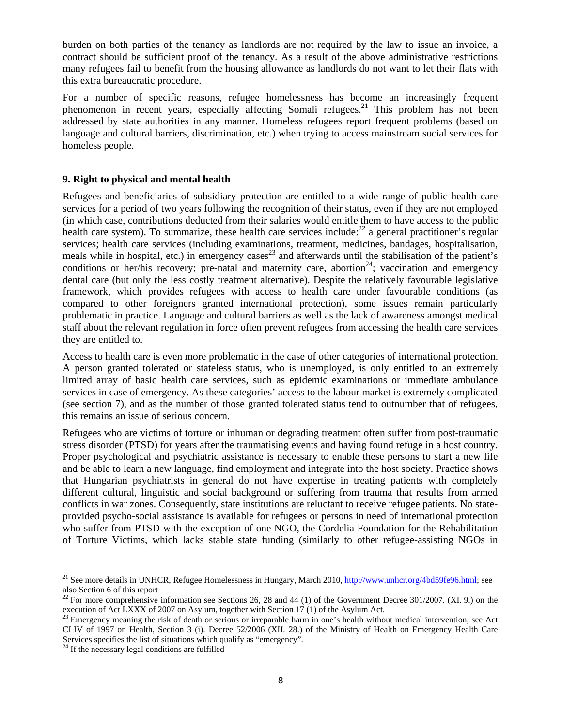burden on both parties of the tenancy as landlords are not required by the law to issue an invoice, a contract should be sufficient proof of the tenancy. As a result of the above administrative restrictions many refugees fail to benefit from the housing allowance as landlords do not want to let their flats with this extra bureaucratic procedure.

For a number of specific reasons, refugee homelessness has become an increasingly frequent phenomenon in recent years, especially affecting Somali refugees.<sup>21</sup> This problem has not been addressed by state authorities in any manner. Homeless refugees report frequent problems (based on language and cultural barriers, discrimination, etc.) when trying to access mainstream social services for homeless people.

#### **9. Right to physical and mental health**

Refugees and beneficiaries of subsidiary protection are entitled to a wide range of public health care services for a period of two years following the recognition of their status, even if they are not employed (in which case, contributions deducted from their salaries would entitle them to have access to the public health care system). To summarize, these health care services include:<sup>22</sup> a general practitioner's regular services; health care services (including examinations, treatment, medicines, bandages, hospitalisation, meals while in hospital, etc.) in emergency cases<sup>23</sup> and afterwards until the stabilisation of the patient's conditions or her/his recovery; pre-natal and maternity care, abortion<sup>24</sup>; vaccination and emergency dental care (but only the less costly treatment alternative). Despite the relatively favourable legislative framework, which provides refugees with access to health care under favourable conditions (as compared to other foreigners granted international protection), some issues remain particularly problematic in practice. Language and cultural barriers as well as the lack of awareness amongst medical staff about the relevant regulation in force often prevent refugees from accessing the health care services they are entitled to.

Access to health care is even more problematic in the case of other categories of international protection. A person granted tolerated or stateless status, who is unemployed, is only entitled to an extremely limited array of basic health care services, such as epidemic examinations or immediate ambulance services in case of emergency. As these categories' access to the labour market is extremely complicated (see section 7), and as the number of those granted tolerated status tend to outnumber that of refugees, this remains an issue of serious concern.

Refugees who are victims of torture or inhuman or degrading treatment often suffer from post-traumatic stress disorder (PTSD) for years after the traumatising events and having found refuge in a host country. Proper psychological and psychiatric assistance is necessary to enable these persons to start a new life and be able to learn a new language, find employment and integrate into the host society. Practice shows that Hungarian psychiatrists in general do not have expertise in treating patients with completely different cultural, linguistic and social background or suffering from trauma that results from armed conflicts in war zones. Consequently, state institutions are reluctant to receive refugee patients. No stateprovided psycho-social assistance is available for refugees or persons in need of international protection who suffer from PTSD with the exception of one NGO, the Cordelia Foundation for the Rehabilitation of Torture Victims, which lacks stable state funding (similarly to other refugee-assisting NGOs in

<sup>&</sup>lt;sup>21</sup> See more details in UNHCR, Refugee Homelessness in Hungary, March 2010, http://www.unhcr.org/4bd59fe96.html; see also Section 6 of this report

 $22$  For more comprehensive information see Sections 26, 28 and 44 (1) of the Government Decree 301/2007. (XI. 9.) on the execution of Act LXXX of 2007 on Asylum, together with Section 17 (1) of the Asylum Act.

<sup>&</sup>lt;sup>23</sup> Emergency meaning the risk of death or serious or irreparable harm in one's health without medical intervention, see Act CLIV of 1997 on Health, Section 3 (i). Decree 52/2006 (XII. 28.) of the Ministry of Health on Emergency Health Care Services specifies the list of situations which qualify as "emergency".

 $24$  If the necessary legal conditions are fulfilled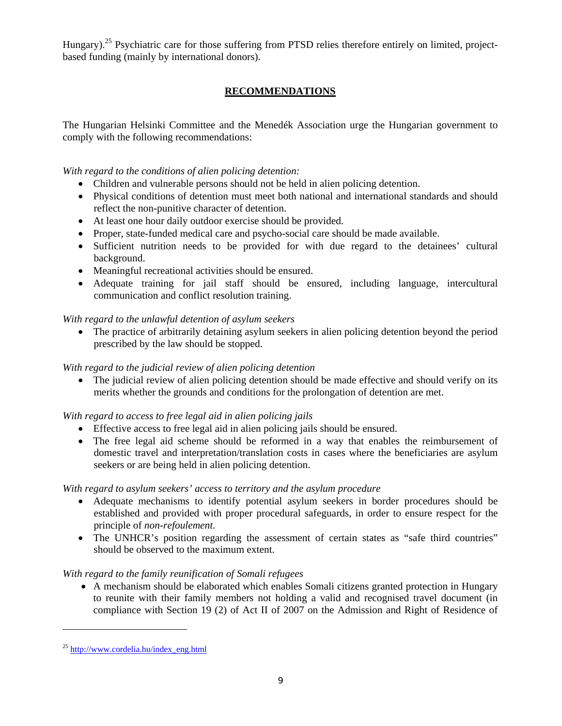Hungary).<sup>25</sup> Psychiatric care for those suffering from PTSD relies therefore entirely on limited, projectbased funding (mainly by international donors).

# **RECOMMENDATIONS**

The Hungarian Helsinki Committee and the Menedék Association urge the Hungarian government to comply with the following recommendations:

*With regard to the conditions of alien policing detention:* 

- Children and vulnerable persons should not be held in alien policing detention.
- Physical conditions of detention must meet both national and international standards and should reflect the non-punitive character of detention.
- At least one hour daily outdoor exercise should be provided.
- Proper, state-funded medical care and psycho-social care should be made available.
- Sufficient nutrition needs to be provided for with due regard to the detainees' cultural background.
- Meaningful recreational activities should be ensured.
- Adequate training for jail staff should be ensured, including language, intercultural communication and conflict resolution training.

# *With regard to the unlawful detention of asylum seekers*

• The practice of arbitrarily detaining asylum seekers in alien policing detention beyond the period prescribed by the law should be stopped.

# *With regard to the judicial review of alien policing detention*

• The judicial review of alien policing detention should be made effective and should verify on its merits whether the grounds and conditions for the prolongation of detention are met.

# *With regard to access to free legal aid in alien policing jails*

- Effective access to free legal aid in alien policing jails should be ensured.
- The free legal aid scheme should be reformed in a way that enables the reimbursement of domestic travel and interpretation/translation costs in cases where the beneficiaries are asylum seekers or are being held in alien policing detention.

# *With regard to asylum seekers' access to territory and the asylum procedure*

- Adequate mechanisms to identify potential asylum seekers in border procedures should be established and provided with proper procedural safeguards, in order to ensure respect for the principle of *non-refoulement.*
- The UNHCR's position regarding the assessment of certain states as "safe third countries" should be observed to the maximum extent.

# *With regard to the family reunification of Somali refugees*

• A mechanism should be elaborated which enables Somali citizens granted protection in Hungary to reunite with their family members not holding a valid and recognised travel document (in compliance with Section 19 (2) of Act II of 2007 on the Admission and Right of Residence of

<sup>25</sup> http://www.cordelia.hu/index\_eng.html